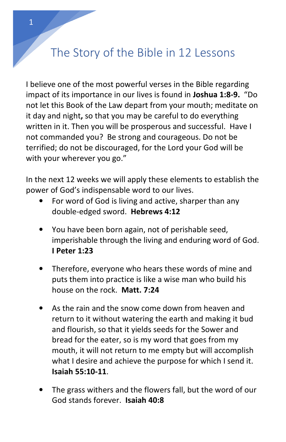## The Story of the Bible in 12 Lessons

I believe one of the most powerful verses in the Bible regarding impact of its importance in our lives is found in **Joshua 1:8-9.** "Do not let this Book of the Law depart from your mouth; meditate on it day and night**,** so that you may be careful to do everything written in it. Then you will be prosperous and successful. Have I not commanded you? Be strong and courageous. Do not be terrified; do not be discouraged, for the Lord your God will be with your wherever you go."

In the next 12 weeks we will apply these elements to establish the power of God's indispensable word to our lives.

- For word of God is living and active, sharper than any double-edged sword. **Hebrews 4:12**
- You have been born again, not of perishable seed, imperishable through the living and enduring word of God. **I Peter 1:23**
- Therefore, everyone who hears these words of mine and puts them into practice is like a wise man who build his house on the rock. **Matt. 7:24**
- As the rain and the snow come down from heaven and return to it without watering the earth and making it bud and flourish, so that it yields seeds for the Sower and bread for the eater, so is my word that goes from my mouth, it will not return to me empty but will accomplish what I desire and achieve the purpose for which I send it. **Isaiah 55:10-11**.
- The grass withers and the flowers fall, but the word of our God stands forever. **Isaiah 40:8**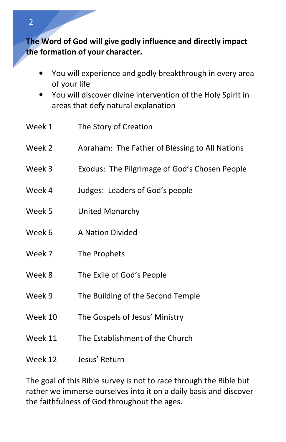**The Word of God will give godly influence and directly impact the formation of your character.** 

- You will experience and godly breakthrough in every area of your life
- You will discover divine intervention of the Holy Spirit in areas that defy natural explanation
- Week 1 The Story of Creation
- Week 2 Abraham: The Father of Blessing to All Nations
- Week 3 Exodus: The Pilgrimage of God's Chosen People
- Week 4 Judges: Leaders of God's people
- Week 5 United Monarchy
- Week 6 A Nation Divided
- Week 7 The Prophets
- Week 8 The Exile of God's People
- Week 9 The Building of the Second Temple
- Week 10 The Gospels of Jesus' Ministry
- Week 11 The Establishment of the Church
- Week 12 Jesus' Return

The goal of this Bible survey is not to race through the Bible but rather we immerse ourselves into it on a daily basis and discover the faithfulness of God throughout the ages.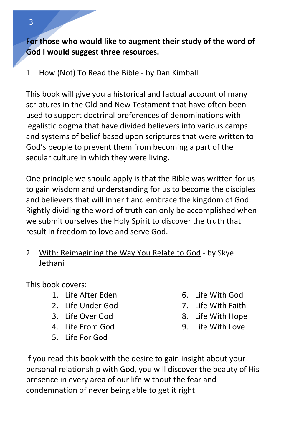**For those who would like to augment their study of the word of God I would suggest three resources.** 

1. How (Not) To Read the Bible - by Dan Kimball

This book will give you a historical and factual account of many scriptures in the Old and New Testament that have often been used to support doctrinal preferences of denominations with legalistic dogma that have divided believers into various camps and systems of belief based upon scriptures that were written to God's people to prevent them from becoming a part of the secular culture in which they were living.

One principle we should apply is that the Bible was written for us to gain wisdom and understanding for us to become the disciples and believers that will inherit and embrace the kingdom of God. Rightly dividing the word of truth can only be accomplished when we submit ourselves the Holy Spirit to discover the truth that result in freedom to love and serve God.

2. With: Reimagining the Way You Relate to God - by Skye Jethani

This book covers:

- 1. Life After Eden
- 2. Life Under God
- 3. Life Over God
- 4. Life From God
- 5. Life For God
- 6. Life With God
- 7. Life With Faith
- 8. Life With Hope
- 9. Life With Love
- If you read this book with the desire to gain insight about your personal relationship with God, you will discover the beauty of His presence in every area of our life without the fear and condemnation of never being able to get it right.